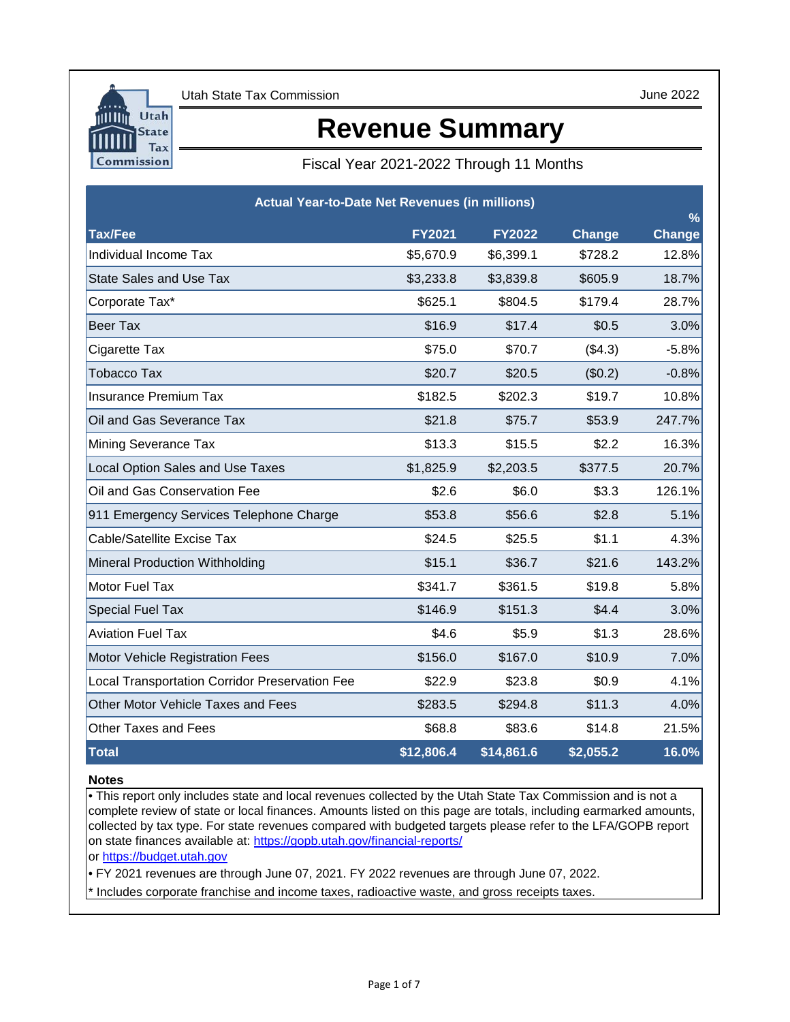

June 2022

# **Revenue Summary**

Fiscal Year 2021-2022 Through 11 Months

| <b>Actual Year-to-Date Net Revenues (in millions)</b> |               |               |                  | $\frac{9}{6}$ |
|-------------------------------------------------------|---------------|---------------|------------------|---------------|
| <b>Tax/Fee</b>                                        | <b>FY2021</b> | <b>FY2022</b> | Change           | <b>Change</b> |
| Individual Income Tax                                 | \$5,670.9     | \$6,399.1     | \$728.2          | 12.8%         |
| <b>State Sales and Use Tax</b>                        | \$3,233.8     | \$3,839.8     | \$605.9          | 18.7%         |
| Corporate Tax*                                        | \$625.1       | \$804.5       | \$179.4          | 28.7%         |
| <b>Beer Tax</b>                                       | \$16.9        | \$17.4        | \$0.5            | 3.0%          |
| Cigarette Tax                                         | \$75.0        | \$70.7        | (\$4.3)          | $-5.8%$       |
| <b>Tobacco Tax</b>                                    | \$20.7        | \$20.5        | (\$0.2)          | $-0.8%$       |
| <b>Insurance Premium Tax</b>                          | \$182.5       | \$202.3       | \$19.7           | 10.8%         |
| Oil and Gas Severance Tax                             | \$21.8        | \$75.7        | \$53.9           | 247.7%        |
| Mining Severance Tax                                  | \$13.3        | \$15.5        | \$2.2            | 16.3%         |
| <b>Local Option Sales and Use Taxes</b>               | \$1,825.9     | \$2,203.5     | \$377.5          | 20.7%         |
| Oil and Gas Conservation Fee                          | \$2.6         | \$6.0         | \$3.3            | 126.1%        |
| 911 Emergency Services Telephone Charge               | \$53.8        | \$56.6        | \$2.8            | 5.1%          |
| Cable/Satellite Excise Tax                            | \$24.5        | \$25.5        | \$1.1            | 4.3%          |
| <b>Mineral Production Withholding</b>                 | \$15.1        | \$36.7        | \$21.6           | 143.2%        |
| Motor Fuel Tax                                        | \$341.7       | \$361.5       | \$19.8           | 5.8%          |
| <b>Special Fuel Tax</b>                               | \$146.9       | \$151.3       | \$4.4            | 3.0%          |
| <b>Aviation Fuel Tax</b>                              | \$4.6         | \$5.9         | \$1.3            | 28.6%         |
| Motor Vehicle Registration Fees                       | \$156.0       | \$167.0       | \$10.9           | 7.0%          |
| <b>Local Transportation Corridor Preservation Fee</b> | \$22.9        | \$23.8        | \$0.9            | 4.1%          |
| Other Motor Vehicle Taxes and Fees                    | \$283.5       | \$294.8       | \$11.3           | 4.0%          |
| <b>Other Taxes and Fees</b>                           | \$68.8        | \$83.6        | \$14.8           | 21.5%         |
| <b>Total</b>                                          | \$12,806.4    | \$14,861.6    | $\sqrt{2,055.2}$ | 16.0%         |

## **Notes**

• This report only includes state and local revenues collected by the Utah State Tax Commission and is not a complete review of state or local finances. Amounts listed on this page are totals, including earmarked amounts, collected by tax type. For state revenues compared with budgeted targets please refer to the LFA/GOPB report on state finances available at: https://gopb.utah.gov/financial-reports/

[or https://budget.utah.gov](https://le.utah.gov/asp/lfa/lfareports.asp?src=LFAREV)

• FY 2021 revenues are through June 07, 2021. FY 2022 revenues are through June 07, 2022.

\* Includes corporate franchise and income taxes, radioactive waste, and gross receipts taxes.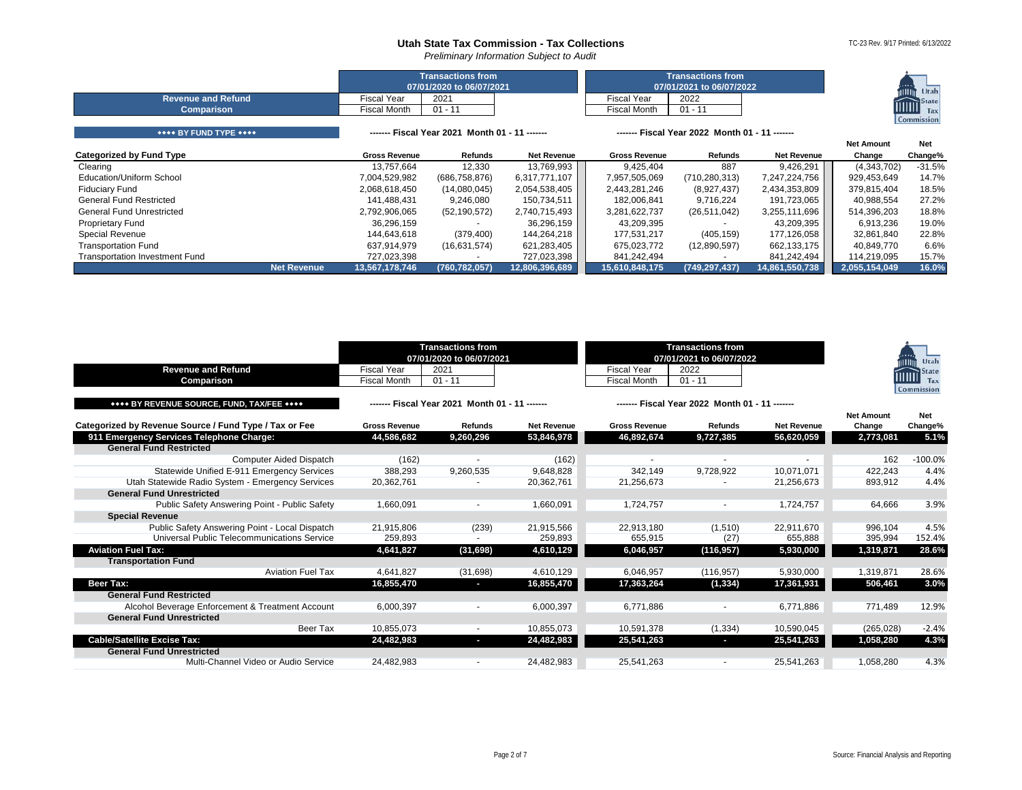*Preliminary Information Subject to Audit*

|                           |              | <b>Transactions from</b><br>07/01/2020 to 06/07/2021 |                     | <b>Transactions from</b><br>07/01/2021 to 06/07/2022 | $-0.0000$<br>Utah<br>mun     |
|---------------------------|--------------|------------------------------------------------------|---------------------|------------------------------------------------------|------------------------------|
| <b>Revenue and Refund</b> | Fiscal Year  | 2021                                                 | Fiscal Year         | 2022                                                 |                              |
| <b>Comparison</b>         | Fiscal Month | 01 - 11                                              | <b>Fiscal Month</b> | 01 - 11                                              | <b>IIIIIIII</b> State<br>Tax |
|                           |              |                                                      |                     |                                                      | Commission                   |

| **** BY FUND TYPE ****                | ------ Fiscal Year 2021 Month 01 - 11 ------ |                 |                    | ------- Fiscal Year 2022 Month 01 - 11 ------ |                 |                    |                   |            |
|---------------------------------------|----------------------------------------------|-----------------|--------------------|-----------------------------------------------|-----------------|--------------------|-------------------|------------|
|                                       |                                              |                 |                    |                                               |                 |                    | <b>Net Amount</b> | <b>Net</b> |
| Categorized by Fund Type              | <b>Gross Revenue</b>                         | <b>Refunds</b>  | <b>Net Revenue</b> | <b>Gross Revenue</b>                          | Refunds         | <b>Net Revenue</b> | Change            | Change%    |
| Clearing                              | 13.757.664                                   | 12,330          | 13,769,993         | 9.425.404                                     | 887             | 9,426,291          | (4,343,702)       | $-31.5%$   |
| Education/Uniform School              | 7,004,529,982                                | (686, 758, 876) | 6,317,771,107      | 7,957,505,069                                 | (710, 280, 313) | 7,247,224,756      | 929,453,649       | 14.7%      |
| <b>Fiduciary Fund</b>                 | 2,068,618,450                                | (14,080,045)    | 2,054,538,405      | 2,443,281,246                                 | (8,927,437)     | 2,434,353,809      | 379,815,404       | 18.5%      |
| <b>General Fund Restricted</b>        | 141.488.431                                  | 9.246.080       | 150,734,511        | 182.006.841                                   | 9,716,224       | 191,723,065        | 40.988.554        | 27.2%      |
| <b>General Fund Unrestricted</b>      | 2,792,906,065                                | (52, 190, 572)  | 2,740,715,493      | 3,281,622,737                                 | (26, 511, 042)  | 3,255,111,696      | 514,396,203       | 18.8%      |
| <b>Proprietary Fund</b>               | 36,296,159                                   |                 | 36,296,159         | 43,209,395                                    |                 | 43,209,395         | 6,913,236         | 19.0%      |
| <b>Special Revenue</b>                | 144.643.618                                  | (379, 400)      | 144.264.218        | 177.531.217                                   | (405, 159)      | 177,126,058        | 32,861,840        | 22.8%      |
| <b>Transportation Fund</b>            | 637.914.979                                  | (16,631,574)    | 621,283,405        | 675.023.772                                   | (12,890,597)    | 662,133,175        | 40.849.770        | 6.6%       |
| <b>Transportation Investment Fund</b> | 727,023,398                                  |                 | 727,023,398        | 841.242.494                                   |                 | 841,242,494        | 114,219,095       | 15.7%      |
| Net Revenue                           | 13,567,178,746                               | (760, 782, 057) | 12,806,396,689     | 15,610,848,175                                | (749, 297, 437) | 14,861,550,738     | 2,055,154,049     | 16.0%      |

<span id="page-1-4"></span><span id="page-1-3"></span><span id="page-1-2"></span><span id="page-1-1"></span><span id="page-1-0"></span>

| <b>Revenue and Refund</b>                              | <b>Fiscal Year</b>   | <b>Transactions from</b><br>07/01/2020 to 06/07/2021<br>2021 |                    | <b>Fiscal Year</b>   | <b>Transactions from</b><br>07/01/2021 to 06/07/2022<br>2022 |                    |                   | Utah<br>State<br>шш |
|--------------------------------------------------------|----------------------|--------------------------------------------------------------|--------------------|----------------------|--------------------------------------------------------------|--------------------|-------------------|---------------------|
| Comparison                                             | <b>Fiscal Month</b>  | $01 - 11$                                                    |                    | <b>Fiscal Month</b>  | $01 - 11$                                                    |                    |                   | Tax<br>Commission   |
| **** BY REVENUE SOURCE, FUND, TAX/FEE ****             |                      | ------ Fiscal Year 2021 Month 01 - 11 ------                 |                    |                      | ------- Fiscal Year 2022 Month 01 - 11 ------                |                    |                   |                     |
|                                                        |                      |                                                              |                    |                      |                                                              |                    | <b>Net Amount</b> | Net                 |
| Categorized by Revenue Source / Fund Type / Tax or Fee | <b>Gross Revenue</b> | Refunds                                                      | <b>Net Revenue</b> | <b>Gross Revenue</b> | <b>Refunds</b>                                               | <b>Net Revenue</b> | Change            | Change%             |
| 911 Emergency Services Telephone Charge:               | 44,586,682           | 9,260,296                                                    | 53,846,978         | 46,892,674           | 9,727,385                                                    | 56,620,059         | 2,773,081         | 5.1%                |
| <b>General Fund Restricted</b>                         |                      |                                                              |                    |                      |                                                              |                    |                   |                     |
| <b>Computer Aided Dispatch</b>                         | (162)                |                                                              | (162)              |                      |                                                              |                    | 162               | $-100.0%$           |
| Statewide Unified E-911 Emergency Services             | 388,293              | 9,260,535                                                    | 9.648.828          | 342.149              | 9.728.922                                                    | 10.071.071         | 422.243           | 4.4%                |
| Utah Statewide Radio System - Emergency Services       | 20,362,761           |                                                              | 20,362,761         | 21,256,673           |                                                              | 21,256,673         | 893,912           | 4.4%                |
| <b>General Fund Unrestricted</b>                       |                      |                                                              |                    |                      |                                                              |                    |                   |                     |
| Public Safety Answering Point - Public Safety          | 1,660,091            |                                                              | 1,660,091          | 1,724,757            | $\overline{\phantom{a}}$                                     | 1,724,757          | 64,666            | 3.9%                |
| <b>Special Revenue</b>                                 |                      |                                                              |                    |                      |                                                              |                    |                   |                     |
| Public Safety Answering Point - Local Dispatch         | 21.915.806           | (239)                                                        | 21.915.566         | 22.913.180           | (1,510)                                                      | 22,911,670         | 996.104           | 4.5%                |
| Universal Public Telecommunications Service            | 259,893              |                                                              | 259.893            | 655.915              | (27)                                                         | 655.888            | 395,994           | 152.4%              |
| <b>Aviation Fuel Tax:</b>                              | 4,641,827            | (31, 698)                                                    | 4,610,129          | 6,046,957            | (116,957)                                                    | 5,930,000          | 1,319,871         | 28.6%               |
| <b>Transportation Fund</b>                             |                      |                                                              |                    |                      |                                                              |                    |                   |                     |
| <b>Aviation Fuel Tax</b>                               | 4,641,827            | (31,698)                                                     | 4,610,129          | 6,046,957            | (116, 957)                                                   | 5,930,000          | 1,319,871         | 28.6%               |
| Beer Tax:                                              | 16,855,470           | o.                                                           | 16,855,470         | 17,363,264           | (1, 334)                                                     | 17,361,931         | 506,461           | 3.0%                |
| <b>General Fund Restricted</b>                         |                      |                                                              |                    |                      |                                                              |                    |                   |                     |
| Alcohol Beverage Enforcement & Treatment Account       | 6.000.397            |                                                              | 6,000,397          | 6.771.886            | $\overline{\phantom{a}}$                                     | 6.771.886          | 771.489           | 12.9%               |
| <b>General Fund Unrestricted</b>                       |                      |                                                              |                    |                      |                                                              |                    |                   |                     |
| Beer Tax                                               | 10.855.073           | $\sim$                                                       | 10,855,073         | 10,591,378           | (1, 334)                                                     | 10,590,045         | (265, 028)        | $-2.4%$             |
| <b>Cable/Satellite Excise Tax:</b>                     | 24,482,983           | ı                                                            | 24,482,983         | 25,541,263           | ı                                                            | 25,541,263         | 1,058,280         | 4.3%                |
| <b>General Fund Unrestricted</b>                       |                      |                                                              |                    |                      |                                                              |                    |                   |                     |
| Multi-Channel Video or Audio Service                   | 24.482.983           |                                                              | 24,482,983         | 25.541.263           |                                                              | 25,541,263         | 1,058,280         | 4.3%                |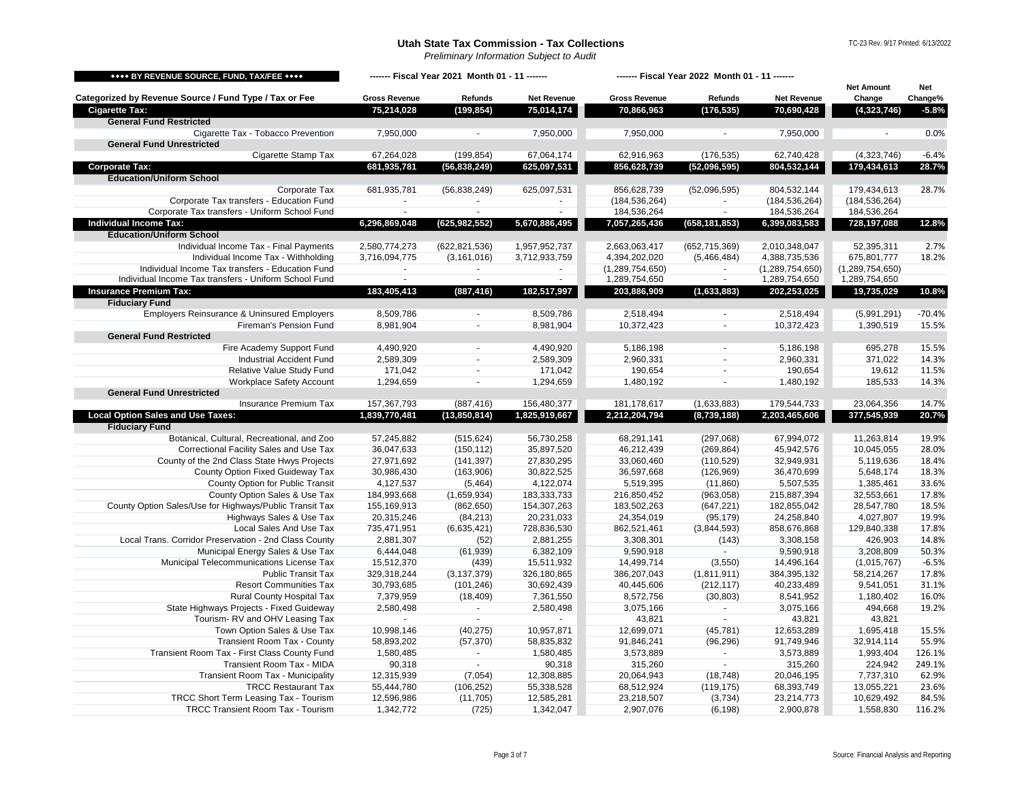*Preliminary Information Subject to Audit*

TC-23 Rev. 9/17 Printed: 6/13/2022

<span id="page-2-4"></span><span id="page-2-3"></span><span id="page-2-2"></span><span id="page-2-1"></span><span id="page-2-0"></span>

| **** BY REVENUE SOURCE, FUND, TAX/FEE ****                            | ------- Fiscal Year 2021 Month 01 - 11 ------- |                    |                          | ------- Fiscal Year 2022 Month 01 - 11 ------- |                    |                     |                             |                       |
|-----------------------------------------------------------------------|------------------------------------------------|--------------------|--------------------------|------------------------------------------------|--------------------|---------------------|-----------------------------|-----------------------|
| Categorized by Revenue Source / Fund Type / Tax or Fee                | <b>Gross Revenue</b>                           | Refunds            | <b>Net Revenue</b>       | <b>Gross Revenue</b>                           | Refunds            | <b>Net Revenue</b>  | <b>Net Amount</b><br>Change | <b>Net</b><br>Change% |
| <b>Cigarette Tax:</b>                                                 | 75,214,028                                     | (199, 854)         | 75,014,174               | 70,866,963                                     | (176, 535)         | 70,690,428          | (4,323,746)                 | $-5.8%$               |
| <b>General Fund Restricted</b>                                        |                                                |                    |                          |                                                |                    |                     |                             |                       |
| Cigarette Tax - Tobacco Prevention                                    | 7,950,000                                      |                    | 7,950,000                | 7,950,000                                      |                    | 7,950,000           |                             | 0.0%                  |
| <b>General Fund Unrestricted</b>                                      |                                                |                    |                          |                                                |                    |                     |                             |                       |
| Cigarette Stamp Tax                                                   | 67,264,028                                     | (199, 854)         | 67,064,174               | 62,916,963                                     | (176, 535)         | 62,740,428          | (4,323,746)                 | $-6.4%$               |
| <b>Corporate Tax:</b>                                                 | 681,935,781                                    | (56, 838, 249)     | 625,097,531              | 856,628,739                                    | (52,096,595)       | 804,532,144         | 179,434,613                 | 28.7%                 |
| <b>Education/Uniform School</b>                                       |                                                |                    |                          |                                                |                    |                     |                             |                       |
| Corporate Tax                                                         | 681,935,781                                    | (56, 838, 249)     | 625,097,531              | 856,628,739                                    | (52,096,595)       | 804,532,144         | 179,434,613                 | 28.7%                 |
| Corporate Tax transfers - Education Fund                              |                                                |                    |                          | (184, 536, 264)                                |                    | (184, 536, 264)     | (184, 536, 264)             |                       |
| Corporate Tax transfers - Uniform School Fund                         | $\sim$                                         | $\sim$             | $\overline{\phantom{a}}$ | 184,536,264                                    | $\sim$             | 184,536,264         | 184,536,264                 |                       |
| <b>Individual Income Tax:</b>                                         | 6,296,869,048                                  | (625, 982, 552)    | 5,670,886,495            | 7,057,265,436                                  | (658, 181, 853)    | 6,399,083,583       | 728,197,088                 | 12.8%                 |
| <b>Education/Uniform School</b>                                       |                                                |                    |                          |                                                |                    |                     |                             |                       |
| Individual Income Tax - Final Payments                                | 2,580,774,273                                  | (622, 821, 536)    | 1,957,952,737            | 2,663,063,417                                  | (652, 715, 369)    | 2,010,348,047       | 52,395,311                  | 2.7%                  |
| Individual Income Tax - Withholding                                   | 3,716,094,775                                  | (3, 161, 016)      | 3,712,933,759            | 4,394,202,020                                  | (5,466,484)        | 4,388,735,536       | 675,801,777                 | 18.2%                 |
| Individual Income Tax transfers - Education Fund                      |                                                |                    |                          | (1,289,754,650)                                |                    | (1,289,754,650)     | (1, 289, 754, 650)          |                       |
| Individual Income Tax transfers - Uniform School Fund                 |                                                |                    |                          | 1,289,754,650                                  | $\omega$           | 1,289,754,650       | 1,289,754,650               |                       |
| <b>Insurance Premium Tax:</b>                                         | 183,405,413                                    | (887, 416)         | 182,517,997              | 203,886,909                                    | (1,633,883)        | 202,253,025         | 19,735,029                  | 10.8%                 |
| <b>Fiduciary Fund</b>                                                 |                                                |                    |                          |                                                |                    |                     |                             |                       |
| Employers Reinsurance & Uninsured Employers<br>Fireman's Pension Fund | 8,509,786                                      | $\Delta$           | 8,509,786                | 2,518,494                                      | $\omega$           | 2,518,494           | (5,991,291)                 | $-70.4%$<br>15.5%     |
| <b>General Fund Restricted</b>                                        | 8,981,904                                      |                    | 8,981,904                | 10,372,423                                     |                    | 10,372,423          | 1,390,519                   |                       |
| Fire Academy Support Fund                                             | 4,490,920                                      | $\blacksquare$     | 4,490,920                | 5,186,198                                      | $\blacksquare$     | 5,186,198           | 695,278                     | 15.5%                 |
| <b>Industrial Accident Fund</b>                                       | 2,589,309                                      | $\sim$             | 2,589,309                | 2,960,331                                      | $\sim$             | 2,960,331           | 371,022                     | 14.3%                 |
| Relative Value Study Fund                                             | 171,042                                        | $\blacksquare$     | 171,042                  | 190,654                                        | $\blacksquare$     | 190,654             | 19,612                      | 11.5%                 |
| Workplace Safety Account                                              | 1,294,659                                      | $\blacksquare$     | 1,294,659                | 1,480,192                                      | $\omega$           | 1,480,192           | 185,533                     | 14.3%                 |
| <b>General Fund Unrestricted</b>                                      |                                                |                    |                          |                                                |                    |                     |                             |                       |
| <b>Insurance Premium Tax</b>                                          | 157,367,793                                    | (887, 416)         | 156,480,377              | 181, 178, 617                                  | (1,633,883)        | 179,544,733         | 23,064,356                  | 14.7%                 |
| <b>Local Option Sales and Use Taxes:</b>                              | 1,839,770,481                                  | (13,850,814)       | 1,825,919,667            | 2,212,204,794                                  | (8,739,188)        | 2,203,465,606       | 377,545,939                 | 20.7%                 |
| <b>Fiduciary Fund</b>                                                 |                                                |                    |                          |                                                |                    |                     |                             |                       |
| Botanical, Cultural, Recreational, and Zoo                            | 57,245,882                                     | (515, 624)         | 56,730,258               | 68,291,141                                     | (297,068)          | 67,994,072          | 11,263,814                  | 19.9%                 |
| Correctional Facility Sales and Use Tax                               | 36,047,633                                     | (150, 112)         | 35,897,520               | 46,212,439                                     | (269, 864)         | 45,942,576          | 10,045,055                  | 28.0%                 |
| County of the 2nd Class State Hwys Projects                           | 27,971,692                                     | (141, 397)         | 27,830,295               | 33,060,460                                     | (110, 529)         | 32,949,931          | 5,119,636                   | 18.4%                 |
| County Option Fixed Guideway Tax                                      | 30,986,430                                     | (163,906)          | 30,822,525               | 36,597,668                                     | (126, 969)         | 36,470,699          | 5,648,174                   | 18.3%                 |
| County Option for Public Transit                                      | 4,127,537                                      | (5,464)            | 4,122,074                | 5,519,395                                      | (11, 860)          | 5,507,535           | 1,385,461                   | 33.6%                 |
| County Option Sales & Use Tax                                         | 184,993,668                                    | (1,659,934)        | 183,333,733              | 216,850,452                                    | (963,058)          | 215,887,394         | 32,553,661                  | 17.8%                 |
| County Option Sales/Use for Highways/Public Transit Tax               | 155,169,913                                    | (862, 650)         | 154,307,263              | 183,502,263                                    | (647, 221)         | 182,855,042         | 28,547,780                  | 18.5%                 |
| Highways Sales & Use Tax                                              | 20,315,246                                     | (84, 213)          | 20,231,033               | 24,354,019                                     | (95, 179)          | 24,258,840          | 4,027,807                   | 19.9%                 |
| Local Sales And Use Tax                                               | 735,471,951                                    | (6,635,421)        | 728,836,530              | 862,521,461                                    | (3,844,593)        | 858,676,868         | 129,840,338                 | 17.8%                 |
| Local Trans. Corridor Preservation - 2nd Class County                 | 2,881,307                                      | (52)               | 2,881,255                | 3,308,301                                      | (143)              | 3,308,158           | 426,903                     | 14.8%                 |
| Municipal Energy Sales & Use Tax                                      | 6,444,048                                      | (61, 939)          | 6,382,109                | 9,590,918                                      |                    | 9,590,918           | 3,208,809                   | 50.3%                 |
| Municipal Telecommunications License Tax                              | 15,512,370                                     | (439)              | 15,511,932               | 14,499,714                                     | (3,550)            | 14,496,164          | (1,015,767)                 | $-6.5%$               |
| <b>Public Transit Tax</b>                                             | 329,318,244                                    | (3, 137, 379)      | 326,180,865              | 386,207,043                                    | (1, 811, 911)      | 384,395,132         | 58,214,267                  | 17.8%                 |
| <b>Resort Communities Tax</b>                                         | 30,793,685                                     | (101, 246)         | 30,692,439               | 40,445,606                                     | (212, 117)         | 40,233,489          | 9,541,051                   | 31.1%                 |
| Rural County Hospital Tax<br>State Highways Projects - Fixed Guideway | 7,379,959<br>2,580,498                         | (18, 409)          | 7,361,550<br>2,580,498   | 8,572,756                                      | (30, 803)          | 8,541,952           | 1,180,402                   | 16.0%<br>19.2%        |
| Tourism-RV and OHV Leasing Tax                                        |                                                | $\sim$<br>$\omega$ |                          | 3,075,166<br>43,821                            | $\sim$<br>$\omega$ | 3,075,166<br>43,821 | 494,668<br>43,821           |                       |
| Town Option Sales & Use Tax                                           | 10,998,146                                     | (40, 275)          | 10,957,871               | 12,699,071                                     | (45, 781)          | 12,653,289          | 1,695,418                   | 15.5%                 |
| <b>Transient Room Tax - County</b>                                    | 58,893,202                                     | (57, 370)          | 58,835,832               | 91,846,241                                     | (96, 296)          | 91,749,946          | 32,914,114                  | 55.9%                 |
| Transient Room Tax - First Class County Fund                          | 1,580,485                                      | $\sim$             | 1,580,485                | 3,573,889                                      | $\mathbf{r}$       | 3,573,889           | 1,993,404                   | 126.1%                |
| Transient Room Tax - MIDA                                             | 90,318                                         | $\sim$             | 90,318                   | 315,260                                        | $\sim$             | 315,260             | 224,942                     | 249.1%                |
| Transient Room Tax - Municipality                                     | 12,315,939                                     | (7,054)            | 12,308,885               | 20,064,943                                     | (18, 748)          | 20,046,195          | 7,737,310                   | 62.9%                 |
| <b>TRCC Restaurant Tax</b>                                            | 55,444,780                                     | (106, 252)         | 55,338,528               | 68,512,924                                     | (119, 175)         | 68,393,749          | 13,055,221                  | 23.6%                 |
| TRCC Short Term Leasing Tax - Tourism                                 | 12,596,986                                     | (11, 705)          | 12,585,281               | 23,218,507                                     | (3,734)            | 23,214,773          | 10,629,492                  | 84.5%                 |
| <b>TRCC Transient Room Tax - Tourism</b>                              | 1,342,772                                      | (725)              | 1,342,047                | 2,907,076                                      | (6, 198)           | 2,900,878           | 1,558,830                   | 116.2%                |
|                                                                       |                                                |                    |                          |                                                |                    |                     |                             |                       |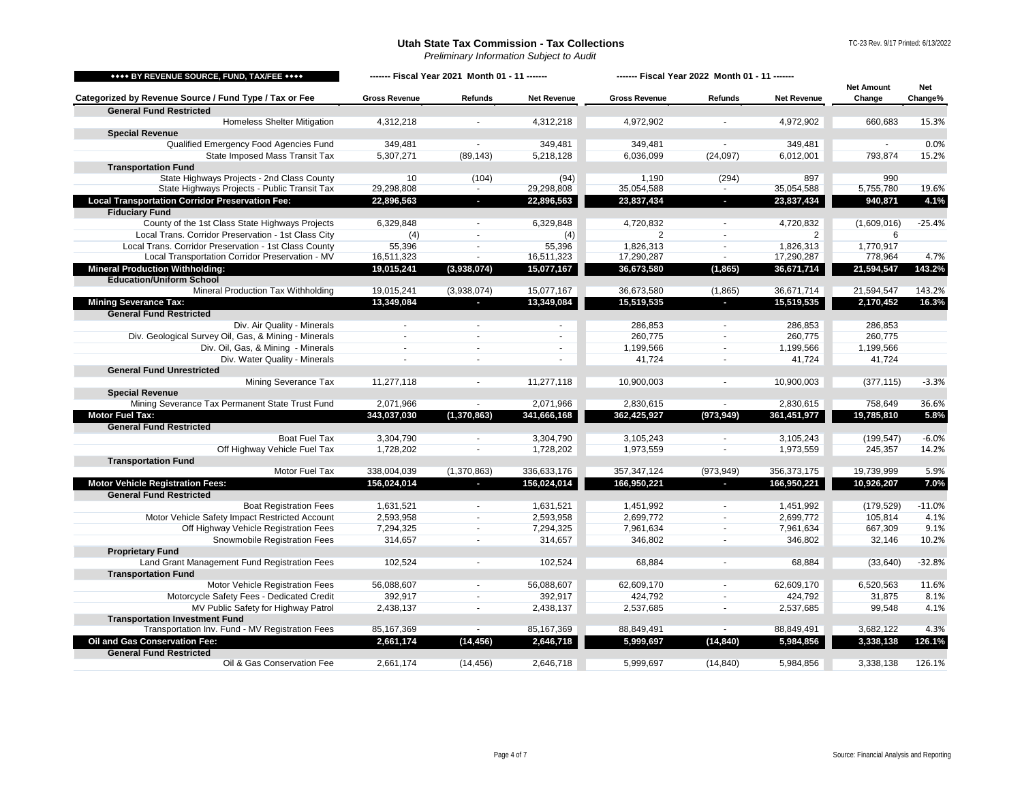*Preliminary Information Subject to Audit*

<span id="page-3-5"></span><span id="page-3-4"></span><span id="page-3-3"></span><span id="page-3-2"></span><span id="page-3-1"></span><span id="page-3-0"></span>

| **** BY REVENUE SOURCE, FUND, TAX/FEE ****                 | ------- Fiscal Year 2021 Month 01 - 11 ------- |                |                          | ------- Fiscal Year 2022 Month 01 - 11 ------- |                          |                    | <b>Net Amount</b> | Net      |
|------------------------------------------------------------|------------------------------------------------|----------------|--------------------------|------------------------------------------------|--------------------------|--------------------|-------------------|----------|
| Categorized by Revenue Source / Fund Type / Tax or Fee     | <b>Gross Revenue</b>                           | Refunds        | <b>Net Revenue</b>       | <b>Gross Revenue</b>                           | Refunds                  | <b>Net Revenue</b> | Change            | Change%  |
| <b>General Fund Restricted</b>                             |                                                |                |                          |                                                |                          |                    |                   |          |
| <b>Homeless Shelter Mitigation</b>                         | 4,312,218                                      |                | 4,312,218                | 4,972,902                                      |                          | 4,972,902          | 660,683           | 15.3%    |
| <b>Special Revenue</b>                                     |                                                |                |                          |                                                |                          |                    |                   |          |
| Qualified Emergency Food Agencies Fund                     | 349,481                                        |                | 349,481                  | 349,481                                        |                          | 349,481            |                   | 0.0%     |
| State Imposed Mass Transit Tax                             | 5,307,271                                      | (89, 143)      | 5,218,128                | 6,036,099                                      | (24,097)                 | 6,012,001          | 793,874           | 15.2%    |
| <b>Transportation Fund</b>                                 |                                                |                |                          |                                                |                          |                    |                   |          |
| State Highways Projects - 2nd Class County                 | 10                                             | (104)          | (94)                     | 1,190                                          | (294)                    | 897                | 990               |          |
| State Highways Projects - Public Transit Tax               | 29,298,808                                     |                | 29,298,808               | 35,054,588                                     |                          | 35,054,588         | 5,755,780         | 19.6%    |
| <b>Local Transportation Corridor Preservation Fee:</b>     | 22,896,563                                     | o.             | 22,896,563               | 23,837,434                                     | $\blacksquare$           | 23,837,434         | 940,871           | 4.1%     |
| <b>Fiduciary Fund</b>                                      |                                                |                |                          |                                                |                          |                    |                   |          |
| County of the 1st Class State Highways Projects            | 6,329,848                                      | $\sim$         | 6,329,848                | 4,720,832                                      | ٠                        | 4,720,832          | (1,609,016)       | $-25.4%$ |
| Local Trans. Corridor Preservation - 1st Class City        | (4)                                            | $\sim$         | (4)                      | $\overline{2}$                                 | $\sim$                   | 2                  | 6                 |          |
| Local Trans. Corridor Preservation - 1st Class County      | 55,396                                         | $\blacksquare$ | 55,396                   | 1,826,313                                      | $\blacksquare$           | 1,826,313          | 1,770,917         |          |
| Local Transportation Corridor Preservation - MV            | 16,511,323                                     |                | 16,511,323               | 17,290,287                                     | $\overline{\phantom{a}}$ | 17,290,287         | 778,964           | 4.7%     |
| <b>Mineral Production Withholding:</b>                     | 19,015,241                                     | (3,938,074)    | 15,077,167               | 36,673,580                                     | (1, 865)                 | 36,671,714         | 21,594,547        | 143.2%   |
| <b>Education/Uniform School</b>                            |                                                |                |                          |                                                |                          |                    |                   |          |
| Mineral Production Tax Withholding                         | 19,015,241                                     | (3,938,074)    | 15,077,167               | 36,673,580                                     | (1,865)                  | 36,671,714         | 21,594,547        | 143.2%   |
| <b>Mining Severance Tax:</b>                               | 13,349,084                                     |                | 13,349,084               | 15,519,535                                     |                          | 15,519,535         | 2,170,452         | 16.3%    |
| <b>General Fund Restricted</b>                             |                                                |                |                          |                                                |                          |                    |                   |          |
| Div. Air Quality - Minerals                                |                                                |                | $\mathbf{r}$             | 286,853                                        |                          | 286,853            | 286,853           |          |
| Div. Geological Survey Oil, Gas, & Mining - Minerals       |                                                | $\sim$         | $\sim$                   | 260,775                                        | ÷.                       | 260,775            | 260,775           |          |
| Div. Oil, Gas, & Mining - Minerals                         | $\sim$                                         | $\sim$         | $\sim$                   | 1,199,566                                      | $\sim$                   | 1,199,566          | 1,199,566         |          |
| Div. Water Quality - Minerals                              | $\sim$                                         | $\blacksquare$ | $\overline{\phantom{a}}$ | 41,724                                         | $\sim$                   | 41,724             | 41,724            |          |
| <b>General Fund Unrestricted</b>                           |                                                |                |                          |                                                |                          |                    |                   |          |
| Mining Severance Tax                                       | 11,277,118                                     | $\blacksquare$ | 11,277,118               | 10,900,003                                     | $\blacksquare$           | 10,900,003         | (377, 115)        | $-3.3%$  |
| <b>Special Revenue</b>                                     |                                                |                |                          |                                                |                          |                    |                   |          |
| Mining Severance Tax Permanent State Trust Fund            | 2,071,966                                      | $\sim$         | 2,071,966                | 2,830,615                                      | $\sim$                   | 2,830,615          | 758,649           | 36.6%    |
| <b>Motor Fuel Tax:</b>                                     | 343,037,030                                    | (1, 370, 863)  | 341,666,168              | 362,425,927                                    | (973, 949)               | 361,451,977        | 19,785,810        | 5.8%     |
| <b>General Fund Restricted</b>                             |                                                |                |                          |                                                |                          |                    |                   |          |
| <b>Boat Fuel Tax</b>                                       | 3,304,790                                      | $\sim$         | 3,304,790                | 3,105,243                                      | ÷,                       | 3,105,243          | (199, 547)        | $-6.0%$  |
| Off Highway Vehicle Fuel Tax<br><b>Transportation Fund</b> | 1,728,202                                      |                | 1,728,202                | 1,973,559                                      |                          | 1,973,559          | 245,357           | 14.2%    |
| Motor Fuel Tax                                             | 338,004,039                                    | (1,370,863)    | 336,633,176              | 357, 347, 124                                  | (973, 949)               | 356,373,175        | 19,739,999        | 5.9%     |
| <b>Motor Vehicle Registration Fees:</b>                    | 156,024,014                                    | ÷.             | 156,024,014              | 166,950,221                                    | п                        | 166,950,221        | 10,926,207        | 7.0%     |
| <b>General Fund Restricted</b>                             |                                                |                |                          |                                                |                          |                    |                   |          |
| <b>Boat Registration Fees</b>                              | 1,631,521                                      | $\sim$         | 1,631,521                | 1,451,992                                      | $\sim$                   | 1,451,992          | (179, 529)        | $-11.0%$ |
| Motor Vehicle Safety Impact Restricted Account             | 2,593,958                                      | $\sim$         | 2,593,958                | 2,699,772                                      | $\sim$                   | 2,699,772          | 105,814           | 4.1%     |
| Off Highway Vehicle Registration Fees                      | 7,294,325                                      | $\sim$         | 7,294,325                | 7,961,634                                      | $\sim$                   | 7,961,634          | 667,309           | 9.1%     |
| Snowmobile Registration Fees                               | 314,657                                        | $\blacksquare$ | 314,657                  | 346,802                                        | $\sim$                   | 346,802            | 32,146            | 10.2%    |
| <b>Proprietary Fund</b>                                    |                                                |                |                          |                                                |                          |                    |                   |          |
| Land Grant Management Fund Registration Fees               | 102,524                                        |                | 102,524                  | 68,884                                         |                          | 68,884             | (33, 640)         | $-32.8%$ |
| <b>Transportation Fund</b>                                 |                                                |                |                          |                                                |                          |                    |                   |          |
| Motor Vehicle Registration Fees                            | 56,088,607                                     | $\sim$         | 56,088,607               | 62,609,170                                     | $\sim$                   | 62,609,170         | 6,520,563         | 11.6%    |
| Motorcycle Safety Fees - Dedicated Credit                  | 392,917                                        | $\sim$         | 392,917                  | 424,792                                        | $\sim$                   | 424,792            | 31,875            | 8.1%     |
| MV Public Safety for Highway Patrol                        | 2,438,137                                      | $\sim$         | 2,438,137                | 2,537,685                                      | $\sim$                   | 2,537,685          | 99,548            | 4.1%     |
| <b>Transportation Investment Fund</b>                      |                                                |                |                          |                                                |                          |                    |                   |          |
| Transportation Inv. Fund - MV Registration Fees            | 85,167,369                                     | $\sim$         | 85,167,369               | 88,849,491                                     | $\sim$                   | 88,849,491         | 3,682,122         | 4.3%     |
| Oil and Gas Conservation Fee:                              | 2,661,174                                      | (14, 456)      | 2,646,718                | 5,999,697                                      | (14, 840)                | 5,984,856          | 3,338,138         | 126.1%   |
| <b>General Fund Restricted</b>                             |                                                |                |                          |                                                |                          |                    |                   |          |
| Oil & Gas Conservation Fee                                 | 2,661,174                                      | (14, 456)      | 2,646,718                | 5,999,697                                      | (14, 840)                | 5,984,856          | 3,338,138         | 126.1%   |
|                                                            |                                                |                |                          |                                                |                          |                    |                   |          |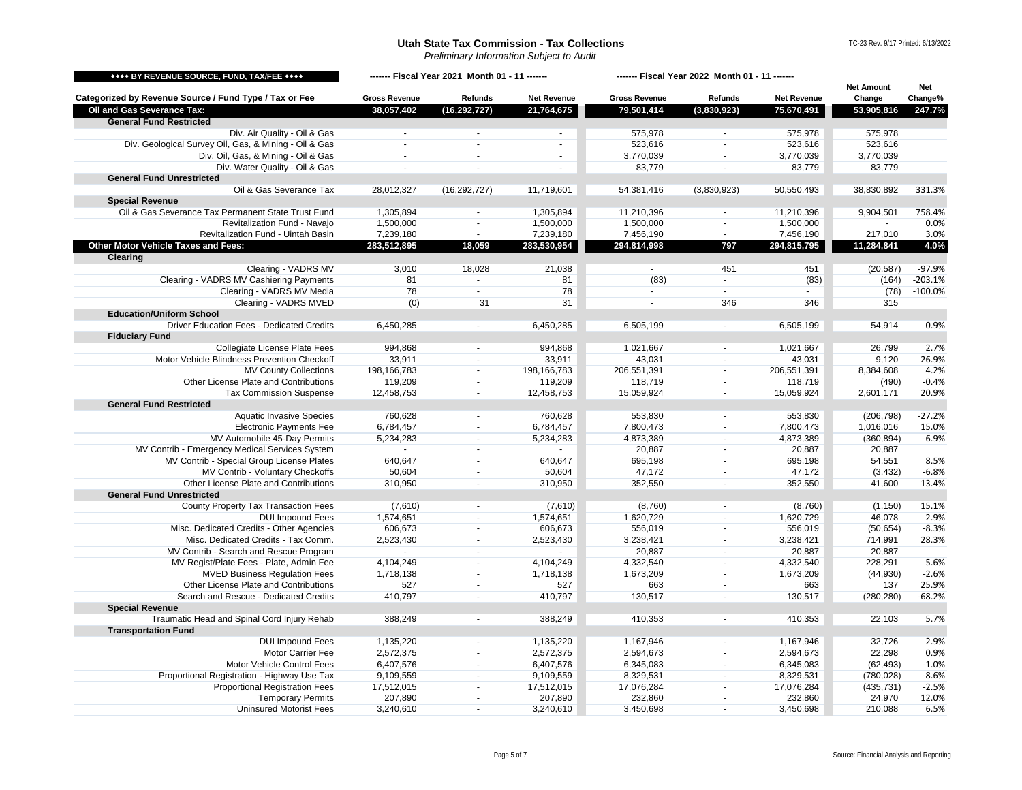*Preliminary Information Subject to Audit*

TC-23 Rev. 9/17 Printed: 6/13/2022

<span id="page-4-1"></span><span id="page-4-0"></span>

| **** BY REVENUE SOURCE, FUND, TAX/FEE ****             | ------- Fiscal Year 2021 Month 01 - 11 ------- |                          |                          | ------- Fiscal Year 2022 Month 01 - 11 ------- |                             |                    |                   |           |
|--------------------------------------------------------|------------------------------------------------|--------------------------|--------------------------|------------------------------------------------|-----------------------------|--------------------|-------------------|-----------|
|                                                        |                                                |                          |                          |                                                |                             |                    | <b>Net Amount</b> | Net       |
| Categorized by Revenue Source / Fund Type / Tax or Fee | <b>Gross Revenue</b>                           | Refunds                  | <b>Net Revenue</b>       | <b>Gross Revenue</b>                           | Refunds                     | <b>Net Revenue</b> | Change            | Change%   |
| Oil and Gas Severance Tax:                             | 38,057,402                                     | (16, 292, 727)           | 21,764,675               | 79,501,414                                     | (3,830,923)                 | 75,670,491         | 53,905,816        | 247.7%    |
| <b>General Fund Restricted</b>                         |                                                |                          |                          |                                                |                             |                    |                   |           |
| Div. Air Quality - Oil & Gas                           | $\sim$                                         | $\overline{a}$           | $\blacksquare$           | 575,978                                        |                             | 575,978            | 575,978           |           |
| Div. Geological Survey Oil, Gas, & Mining - Oil & Gas  |                                                | $\sim$                   | ×.                       | 523,616                                        | $\sim$                      | 523,616            | 523,616           |           |
| Div. Oil, Gas, & Mining - Oil & Gas                    | $\sim$                                         | $\overline{\phantom{a}}$ | $\overline{\phantom{a}}$ | 3,770,039                                      | $\overline{\phantom{a}}$    | 3,770,039          | 3,770,039         |           |
| Div. Water Quality - Oil & Gas                         | ä,                                             | $\sim$                   | ä,                       | 83,779                                         |                             | 83,779             | 83,779            |           |
| <b>General Fund Unrestricted</b>                       |                                                |                          |                          |                                                |                             |                    |                   |           |
| Oil & Gas Severance Tax                                | 28,012,327                                     | (16, 292, 727)           | 11,719,601               | 54,381,416                                     | (3,830,923)                 | 50,550,493         | 38,830,892        | 331.3%    |
| <b>Special Revenue</b>                                 |                                                |                          |                          |                                                |                             |                    |                   |           |
| Oil & Gas Severance Tax Permanent State Trust Fund     | 1,305,894                                      | $\sim$                   | 1,305,894                | 11,210,396                                     |                             | 11,210,396         | 9,904,501         | 758.4%    |
| Revitalization Fund - Navajo                           | 1,500,000                                      | $\blacksquare$           | 1,500,000                | 1,500,000                                      | $\sim$                      | 1,500,000          |                   | 0.0%      |
| Revitalization Fund - Uintah Basin                     | 7,239,180                                      | $\sim$                   | 7,239,180                | 7,456,190                                      | $\sim$                      | 7,456,190          | 217,010           | 3.0%      |
| Other Motor Vehicle Taxes and Fees:                    | 283,512,895                                    | 18,059                   | 283,530,954              | 294,814,998                                    | 797                         | 294,815,795        | 11,284,841        | 4.0%      |
| <b>Clearing</b>                                        |                                                |                          |                          |                                                |                             |                    |                   |           |
| Clearing - VADRS MV                                    | 3,010                                          | 18,028                   | 21,038                   | $\sim$                                         | 451                         | 451                | (20, 587)         | $-97.9%$  |
| Clearing - VADRS MV Cashiering Payments                | 81                                             | $\omega$                 | 81                       | (83)                                           | $\sim$                      | (83)               | (164)             | $-203.1%$ |
| Clearing - VADRS MV Media                              | 78                                             | $\mathbf{r}$             | 78                       | $\sim$                                         | $\sim$                      |                    | (78)              | $-100.0%$ |
| Clearing - VADRS MVED                                  | (0)                                            | 31                       | 31                       | $\sim$                                         | 346                         | 346                | 315               |           |
| <b>Education/Uniform School</b>                        |                                                |                          |                          |                                                |                             |                    |                   |           |
| Driver Education Fees - Dedicated Credits              | 6,450,285                                      | $\blacksquare$           | 6,450,285                | 6,505,199                                      | $\blacksquare$              | 6,505,199          | 54,914            | 0.9%      |
| <b>Fiduciary Fund</b>                                  |                                                |                          |                          |                                                |                             |                    |                   |           |
| Collegiate License Plate Fees                          | 994,868                                        | $\sim$                   | 994,868                  | 1,021,667                                      | ×.                          | 1,021,667          | 26,799            | 2.7%      |
| Motor Vehicle Blindness Prevention Checkoff            | 33,911                                         | $\overline{\phantom{a}}$ | 33,911                   | 43,031                                         | $\overline{\phantom{a}}$    | 43,031             | 9,120             | 26.9%     |
| <b>MV County Collections</b>                           | 198,166,783                                    | $\sim$                   | 198,166,783              | 206,551,391                                    | $\mathcal{L}_{\mathcal{A}}$ | 206,551,391        | 8,384,608         | 4.2%      |
| Other License Plate and Contributions                  |                                                |                          |                          |                                                |                             |                    |                   |           |
|                                                        | 119,209                                        | $\blacksquare$           | 119,209                  | 118,719                                        | $\sim$<br>$\sim$            | 118,719            | (490)             | $-0.4%$   |
| <b>Tax Commission Suspense</b>                         | 12,458,753                                     | $\blacksquare$           | 12,458,753               | 15,059,924                                     |                             | 15,059,924         | 2,601,171         | 20.9%     |
| <b>General Fund Restricted</b>                         |                                                |                          |                          |                                                |                             |                    |                   |           |
| <b>Aquatic Invasive Species</b>                        | 760,628                                        | $\overline{\phantom{a}}$ | 760,628                  | 553,830                                        | $\overline{a}$              | 553,830            | (206, 798)        | $-27.2%$  |
| <b>Electronic Payments Fee</b>                         | 6,784,457                                      | $\blacksquare$           | 6,784,457                | 7,800,473                                      | $\sim$                      | 7,800,473          | 1,016,016         | 15.0%     |
| MV Automobile 45-Day Permits                           | 5,234,283                                      | $\overline{\phantom{a}}$ | 5,234,283                | 4,873,389                                      | $\sim$                      | 4,873,389          | (360, 894)        | $-6.9%$   |
| MV Contrib - Emergency Medical Services System         |                                                | $\overline{\phantom{a}}$ |                          | 20,887                                         | $\blacksquare$              | 20,887             | 20,887            |           |
| MV Contrib - Special Group License Plates              | 640,647                                        | $\overline{a}$           | 640,647                  | 695,198                                        | $\overline{a}$              | 695,198            | 54,551            | 8.5%      |
| MV Contrib - Voluntary Checkoffs                       | 50,604                                         | $\overline{\phantom{a}}$ | 50,604                   | 47,172                                         | $\sim$                      | 47,172             | (3, 432)          | $-6.8%$   |
| Other License Plate and Contributions                  | 310,950                                        | $\overline{\phantom{a}}$ | 310,950                  | 352,550                                        | $\sim$                      | 352,550            | 41,600            | 13.4%     |
| <b>General Fund Unrestricted</b>                       |                                                |                          |                          |                                                |                             |                    |                   |           |
| County Property Tax Transaction Fees                   | (7,610)                                        | $\blacksquare$           | (7,610)                  | (8,760)                                        | $\blacksquare$              | (8,760)            | (1, 150)          | 15.1%     |
| <b>DUI Impound Fees</b>                                | 1,574,651                                      | $\sim$                   | 1,574,651                | 1,620,729                                      | $\sim$                      | 1,620,729          | 46,078            | 2.9%      |
| Misc. Dedicated Credits - Other Agencies               | 606,673                                        | $\overline{\phantom{a}}$ | 606,673                  | 556,019                                        | $\overline{\phantom{a}}$    | 556,019            | (50, 654)         | $-8.3%$   |
| Misc. Dedicated Credits - Tax Comm.                    | 2,523,430                                      | $\tilde{\phantom{a}}$    | 2,523,430                | 3,238,421                                      | $\sim$                      | 3,238,421          | 714,991           | 28.3%     |
| MV Contrib - Search and Rescue Program                 |                                                | $\overline{\phantom{a}}$ |                          | 20,887                                         | $\sim$                      | 20,887             | 20,887            |           |
| MV Regist/Plate Fees - Plate, Admin Fee                | 4,104,249                                      | $\overline{\phantom{a}}$ | 4,104,249                | 4,332,540                                      | $\sim$                      | 4,332,540          | 228,291           | 5.6%      |
| <b>MVED Business Requlation Fees</b>                   | 1,718,138                                      | $\sim$                   | 1,718,138                | 1,673,209                                      | $\sim$                      | 1,673,209          | (44, 930)         | $-2.6%$   |
| Other License Plate and Contributions                  | 527                                            | $\overline{\phantom{a}}$ | 527                      | 663                                            | $\overline{\phantom{a}}$    | 663                | 137               | 25.9%     |
| Search and Rescue - Dedicated Credits                  | 410,797                                        | $\blacksquare$           | 410,797                  | 130,517                                        | $\sim$                      | 130,517            | (280, 280)        | $-68.2%$  |
| <b>Special Revenue</b>                                 |                                                |                          |                          |                                                |                             |                    |                   |           |
| Traumatic Head and Spinal Cord Injury Rehab            | 388,249                                        |                          | 388,249                  | 410,353                                        |                             | 410,353            | 22,103            | 5.7%      |
| <b>Transportation Fund</b>                             |                                                |                          |                          |                                                |                             |                    |                   |           |
| <b>DUI Impound Fees</b>                                | 1,135,220                                      | $\overline{\phantom{a}}$ | 1,135,220                | 1,167,946                                      | $\overline{\phantom{a}}$    | 1,167,946          | 32,726            | 2.9%      |
| Motor Carrier Fee                                      | 2,572,375                                      | $\tilde{\phantom{a}}$    | 2,572,375                | 2,594,673                                      | $\tilde{\phantom{a}}$       | 2,594,673          | 22,298            | 0.9%      |
| Motor Vehicle Control Fees                             | 6,407,576                                      | $\sim$                   | 6,407,576                | 6,345,083                                      | $\sim$                      | 6,345,083          | (62, 493)         | $-1.0%$   |
| Proportional Registration - Highway Use Tax            | 9,109,559                                      | $\overline{\phantom{a}}$ | 9,109,559                | 8,329,531                                      | $\sim$                      | 8,329,531          | (780, 028)        | $-8.6%$   |
| <b>Proportional Registration Fees</b>                  | 17,512,015                                     | $\sim$                   | 17,512,015               | 17,076,284                                     | $\sim$                      | 17,076,284         | (435, 731)        | $-2.5%$   |
| <b>Temporary Permits</b>                               | 207,890                                        | $\overline{\phantom{a}}$ | 207,890                  | 232,860                                        | $\overline{\phantom{a}}$    | 232,860            | 24,970            | 12.0%     |
| <b>Uninsured Motorist Fees</b>                         | 3,240,610                                      | $\blacksquare$           | 3,240,610                | 3,450,698                                      | $\sim$                      | 3,450,698          | 210,088           | 6.5%      |
|                                                        |                                                |                          |                          |                                                |                             |                    |                   |           |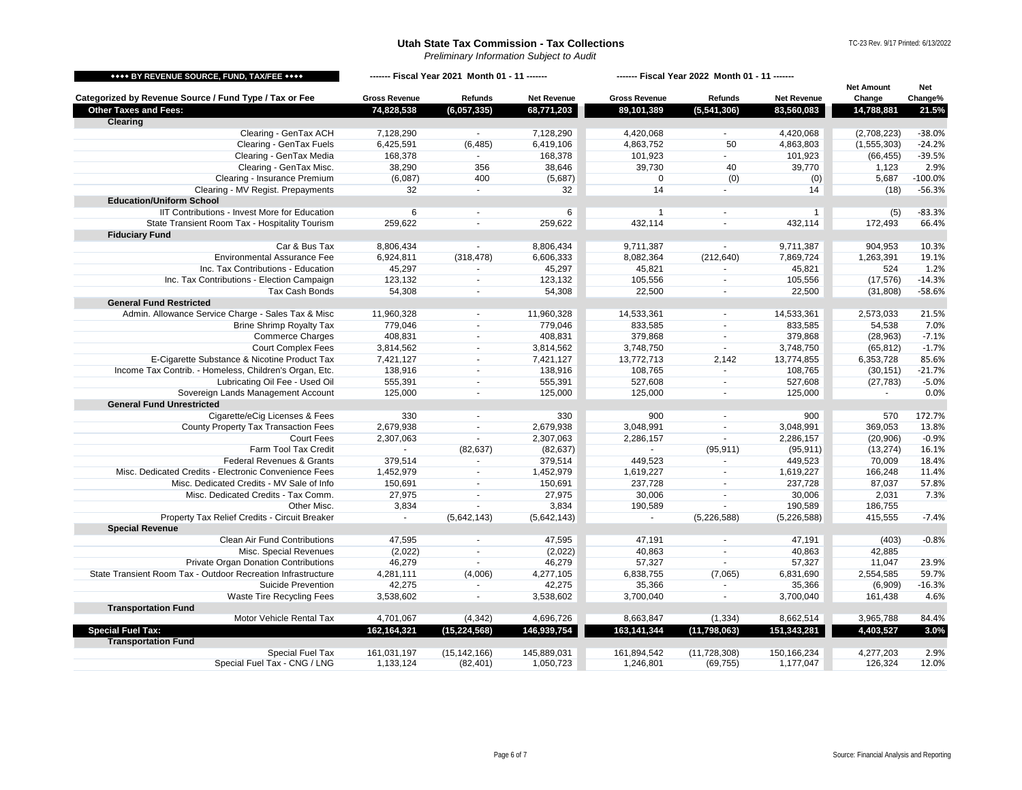*Preliminary Information Subject to Audit*

TC-23 Rev. 9/17 Printed: 6/13/2022

<span id="page-5-1"></span><span id="page-5-0"></span>

| **** BY REVENUE SOURCE, FUND, TAX/FEE ****                                       | ------- Fiscal Year 2021 Month 01 - 11 ------ |                  |                    | ------- Fiscal Year 2022 Month 01 - 11 ------- |                  |                    |                   |                |
|----------------------------------------------------------------------------------|-----------------------------------------------|------------------|--------------------|------------------------------------------------|------------------|--------------------|-------------------|----------------|
|                                                                                  |                                               |                  |                    |                                                |                  |                    | <b>Net Amount</b> | <b>Net</b>     |
| Categorized by Revenue Source / Fund Type / Tax or Fee                           | <b>Gross Revenue</b>                          | Refunds          | <b>Net Revenue</b> | <b>Gross Revenue</b>                           | Refunds          | <b>Net Revenue</b> | Change            | Change%        |
| <b>Other Taxes and Fees:</b><br><b>Clearing</b>                                  | 74,828,538                                    | (6,057,335)      | 68,771,203         | 89,101,389                                     | (5,541,306)      | 83,560,083         | 14,788,881        | 21.5%          |
| Clearing - GenTax ACH                                                            | 7,128,290                                     |                  | 7,128,290          | 4,420,068                                      |                  | 4,420,068          | (2,708,223)       | $-38.0%$       |
| Clearing - GenTax Fuels                                                          | 6,425,591                                     | (6, 485)         | 6,419,106          | 4,863,752                                      | 50               | 4,863,803          | (1, 555, 303)     | $-24.2%$       |
| Clearing - GenTax Media                                                          | 168,378                                       | $\mathbf{r}$     | 168,378            | 101,923                                        | $\sim$           | 101,923            | (66, 455)         | $-39.5%$       |
| Clearing - GenTax Misc.                                                          | 38,290                                        | 356              | 38,646             | 39,730                                         | 40               | 39,770             | 1,123             | 2.9%           |
| Clearing - Insurance Premium                                                     | (6,087)                                       | 400              | (5,687)            | $\mathbf 0$                                    | (0)              | (0)                | 5,687             | $-100.0%$      |
| Clearing - MV Regist. Prepayments                                                | 32                                            | $\sim$           | 32                 | 14                                             | $\sim$           | 14                 | (18)              | $-56.3%$       |
| <b>Education/Uniform School</b>                                                  |                                               |                  |                    |                                                |                  |                    |                   |                |
| IIT Contributions - Invest More for Education                                    | 6                                             |                  | 6                  | $\mathbf{1}$                                   |                  | $\mathbf{1}$       | (5)               | $-83.3%$       |
| State Transient Room Tax - Hospitality Tourism                                   | 259,622                                       |                  | 259,622            | 432,114                                        |                  | 432,114            | 172,493           | 66.4%          |
| <b>Fiduciary Fund</b>                                                            |                                               |                  |                    |                                                |                  |                    |                   |                |
| Car & Bus Tax                                                                    | 8,806,434                                     | $\sim$           | 8,806,434          | 9,711,387                                      | $\sim$           | 9,711,387          | 904,953           | 10.3%          |
| <b>Environmental Assurance Fee</b>                                               | 6,924,811                                     | (318, 478)       | 6,606,333          | 8,082,364                                      | (212, 640)       | 7,869,724          | 1,263,391         | 19.1%          |
| Inc. Tax Contributions - Education                                               | 45,297                                        | $\sim$           | 45,297             | 45,821                                         | $\sim$           | 45,821             | 524               | 1.2%           |
| Inc. Tax Contributions - Election Campaign                                       | 123,132                                       | $\sim$           | 123,132            | 105,556                                        | $\sim$           | 105,556            | (17, 576)         | $-14.3%$       |
| Tax Cash Bonds                                                                   | 54,308                                        | $\blacksquare$   | 54,308             | 22,500                                         | $\sim$           | 22,500             | (31, 808)         | $-58.6%$       |
| <b>General Fund Restricted</b>                                                   |                                               |                  |                    |                                                |                  |                    |                   |                |
| Admin. Allowance Service Charge - Sales Tax & Misc                               | 11,960,328                                    | $\sim$           | 11,960,328         | 14,533,361                                     | $\sim$           | 14,533,361         | 2,573,033         | 21.5%          |
| <b>Brine Shrimp Royalty Tax</b>                                                  | 779,046                                       | $\sim$           | 779,046            | 833,585                                        | $\sim$           | 833,585            | 54,538            | 7.0%           |
| <b>Commerce Charges</b>                                                          | 408,831                                       | $\blacksquare$   | 408,831            | 379,868                                        | $\sim$           | 379,868            | (28, 963)         | $-7.1%$        |
| <b>Court Complex Fees</b>                                                        | 3,814,562                                     | $\mathbf{r}$     | 3,814,562          | 3,748,750                                      | $\sim$           | 3,748,750          | (65, 812)         | $-1.7%$        |
| E-Cigarette Substance & Nicotine Product Tax                                     | 7,421,127                                     | $\sim$           | 7,421,127          | 13,772,713                                     | 2,142            | 13,774,855         | 6,353,728         | 85.6%          |
| Income Tax Contrib. - Homeless, Children's Organ, Etc.                           | 138,916                                       | $\blacksquare$   | 138,916            | 108,765                                        | $\sim$           | 108,765            | (30, 151)         | $-21.7%$       |
| Lubricating Oil Fee - Used Oil                                                   | 555,391                                       | $\sim$           | 555,391            | 527,608                                        | $\sim$           | 527,608            | (27, 783)         | $-5.0%$        |
| Sovereign Lands Management Account                                               | 125,000                                       | $\sim$           | 125,000            | 125,000                                        |                  | 125,000            | $\sim$            | 0.0%           |
| <b>General Fund Unrestricted</b>                                                 |                                               |                  |                    |                                                |                  |                    |                   |                |
| Cigarette/eCig Licenses & Fees                                                   | 330                                           | $\sim$           | 330                | 900                                            |                  | 900                | 570               | 172.7%         |
| County Property Tax Transaction Fees                                             | 2,679,938                                     | $\sim$           | 2,679,938          | 3,048,991                                      | $\sim$           | 3,048,991          | 369,053           | 13.8%          |
| <b>Court Fees</b>                                                                | 2,307,063                                     | $\sim$           | 2,307,063          | 2,286,157                                      | $\blacksquare$   | 2,286,157          | (20, 906)         | $-0.9%$        |
| Farm Tool Tax Credit                                                             |                                               | (82, 637)        | (82, 637)          | $\mathcal{L}$                                  | (95, 911)        | (95, 911)          | (13, 274)         | 16.1%          |
| Federal Revenues & Grants                                                        | 379,514                                       | $\blacksquare$   | 379,514            | 449,523                                        | $\blacksquare$   | 449,523            | 70,009            | 18.4%          |
| Misc. Dedicated Credits - Electronic Convenience Fees                            | 1,452,979                                     | $\sim$<br>$\sim$ | 1,452,979          | 1,619,227                                      | $\sim$<br>$\sim$ | 1,619,227          | 166,248           | 11.4%<br>57.8% |
| Misc. Dedicated Credits - MV Sale of Info<br>Misc. Dedicated Credits - Tax Comm. | 150,691<br>27,975                             | $\sim$           | 150,691<br>27,975  | 237,728<br>30,006                              | $\sim$           | 237,728<br>30,006  | 87,037<br>2,031   | 7.3%           |
| Other Misc.                                                                      | 3,834                                         |                  | 3,834              | 190,589                                        |                  | 190,589            | 186,755           |                |
| Property Tax Relief Credits - Circuit Breaker                                    |                                               | (5,642,143)      | (5,642,143)        |                                                | (5,226,588)      | (5,226,588)        | 415,555           | $-7.4%$        |
| <b>Special Revenue</b>                                                           |                                               |                  |                    |                                                |                  |                    |                   |                |
| Clean Air Fund Contributions                                                     | 47,595                                        |                  | 47,595             | 47,191                                         |                  | 47,191             | (403)             | $-0.8%$        |
| Misc. Special Revenues                                                           | (2,022)                                       | $\blacksquare$   | (2,022)            | 40,863                                         | $\sim$           | 40,863             | 42,885            |                |
| Private Organ Donation Contributions                                             | 46,279                                        | $\sim$           | 46,279             | 57,327                                         | $\blacksquare$   | 57,327             | 11,047            | 23.9%          |
| State Transient Room Tax - Outdoor Recreation Infrastructure                     | 4,281,111                                     | (4,006)          | 4,277,105          | 6,838,755                                      | (7,065)          | 6,831,690          | 2,554,585         | 59.7%          |
| Suicide Prevention                                                               | 42,275                                        | $\blacksquare$   | 42,275             | 35,366                                         | $\sim$           | 35,366             | (6,909)           | $-16.3%$       |
| Waste Tire Recycling Fees                                                        | 3,538,602                                     | $\blacksquare$   | 3,538,602          | 3,700,040                                      | $\sim$           | 3,700,040          | 161,438           | 4.6%           |
| <b>Transportation Fund</b>                                                       |                                               |                  |                    |                                                |                  |                    |                   |                |
| Motor Vehicle Rental Tax                                                         | 4,701,067                                     | (4, 342)         | 4,696,726          | 8,663,847                                      | (1, 334)         | 8,662,514          | 3,965,788         | 84.4%          |
| <b>Special Fuel Tax:</b>                                                         | 162,164,321                                   | (15, 224, 568)   | 146,939,754        | 163,141,344                                    | (11, 798, 063)   | 151,343,281        | 4,403,527         | 3.0%           |
| <b>Transportation Fund</b>                                                       |                                               |                  |                    |                                                |                  |                    |                   |                |
| Special Fuel Tax                                                                 | 161,031,197                                   | (15, 142, 166)   | 145,889,031        | 161,894,542                                    | (11, 728, 308)   | 150,166,234        | 4,277,203         | 2.9%           |
| Special Fuel Tax - CNG / LNG                                                     | 1,133,124                                     | (82, 401)        | 1,050,723          | 1,246,801                                      | (69, 755)        | 1,177,047          | 126,324           | 12.0%          |